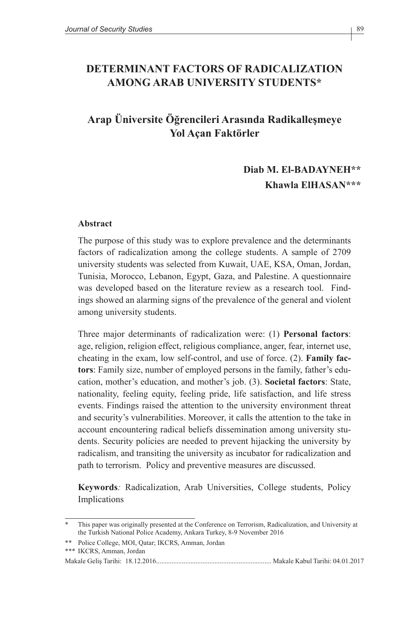### **DETERMINANT FACTORS OF RADICALIZATION AMONG ARAB UNIVERSITY STUDENTS\***

## **Arap Üniversite Öğrencileri Arasında Radikalleşmeye Yol Açan Faktörler**

## **Diab M. El-BADAYNEH\*\* Khawla ElHASAN\*\*\***

#### **Abstract**

The purpose of this study was to explore prevalence and the determinants factors of radicalization among the college students. A sample of 2709 university students was selected from Kuwait, UAE, KSA, Oman, Jordan, Tunisia, Morocco, Lebanon, Egypt, Gaza, and Palestine. A questionnaire was developed based on the literature review as a research tool. Findings showed an alarming signs of the prevalence of the general and violent among university students.

Three major determinants of radicalization were: (1) **Personal factors**: age, religion, religion effect, religious compliance, anger, fear, internet use, cheating in the exam, low self-control, and use of force. (2). **Family factors**: Family size, number of employed persons in the family, father's education, mother's education, and mother's job. (3). **Societal factors**: State, nationality, feeling equity, feeling pride, life satisfaction, and life stress events. Findings raised the attention to the university environment threat and security's vulnerabilities. Moreover, it calls the attention to the take in account encountering radical beliefs dissemination among university students. Security policies are needed to prevent hijacking the university by radicalism, and transiting the university as incubator for radicalization and path to terrorism. Policy and preventive measures are discussed.

**Keywords***:* Radicalization, Arab Universities, College students, Policy Implications

<sup>\*</sup> This paper was originally presented at the Conference on Terrorism, Radicalization, and University at the Turkish National Police Academy, Ankara Turkey, 8-9 November 2016

<sup>\*\*</sup> Police College, MOI, Qatar; IKCRS, Amman, Jordan

<sup>\*\*\*</sup> IKCRS, Amman, Jordan

Makale Geliş Tarihi: 18.12.2016................................................................... Makale Kabul Tarihi: 04.01.2017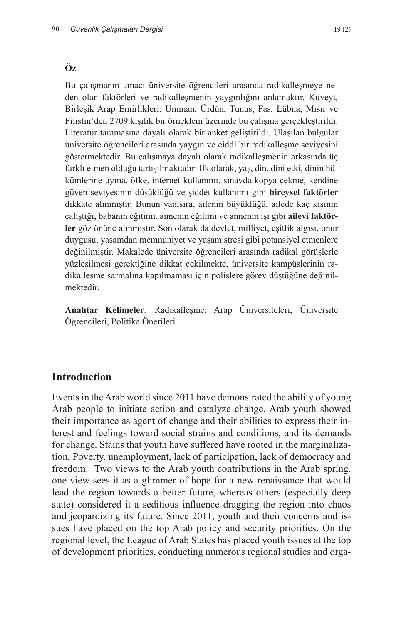Bu çalışmanın amacı üniversite öğrencileri arasında radikalleşmeye neden olan faktörleri ve radikalleşmenin yaygınlığını anlamaktır. Kuveyt, Birleşik Arap Emirlikleri, Umman, Ürdün, Tunus, Fas, Lübna, Mısır ve Filistin'den 2709 kişilik bir örneklem üzerinde bu çalışma gerçekleştirildi. Literatür taramasına dayalı olarak bir anket geliştirildi. Ulaşılan bulgular üniversite öğrencileri arasında yaygın ve ciddi bir radikalleşme seviyesini göstermektedir. Bu çalışmaya dayalı olarak radikalleşmenin arkasında üç farklı etmen olduğu tartışılmaktadır: İlk olarak, yaş, din, dini etki, dinin hükümlerine uyma, öfke, internet kullanımı, sınavda kopya çekme, kendine güven seviyesinin düşüklüğü ve şiddet kullanımı gibi **bireysel faktörler**  dikkate alınmıştır. Bunun yanısıra, ailenin büyüklüğü, ailede kaç kişinin çalıştığı, babanın eğitimi, annenin eğitimi ve annenin işi gibi **ailevi faktörler** göz önüne alınmıştır. Son olarak da devlet, milliyet, eşitlik algısı, onur duygusu, yaşamdan memnuniyet ve yaşam stresi gibi potansiyel etmenlere değinilmiştir. Makalede üniversite öğrencileri arasında radikal görüşlerle yüzleşilmesi gerektiğine dikkat çekilmekte, üniversite kampüslerinin radikalleşme sarmalına kapılmaması için polislere görev düştüğüne değinilmektedir.

**Anahtar Kelimeler***:* Radikalleşme, Arap Üniversiteleri, Üniversite Öğrencileri, Politika Önerileri

#### **Introduction**

Events in the Arab world since 2011 have demonstrated the ability of young Arab people to initiate action and catalyze change. Arab youth showed their importance as agent of change and their abilities to express their interest and feelings toward social strains and conditions, and its demands for change. Stains that youth have suffered have rooted in the marginalization, Poverty, unemployment, lack of participation, lack of democracy and freedom. Two views to the Arab youth contributions in the Arab spring, one view sees it as a glimmer of hope for a new renaissance that would lead the region towards a better future, whereas others (especially deep state) considered it a seditious influence dragging the region into chaos and jeopardizing its future. Since 2011, youth and their concerns and issues have placed on the top Arab policy and security priorities. On the regional level, the League of Arab States has placed youth issues at the top of development priorities, conducting numerous regional studies and orga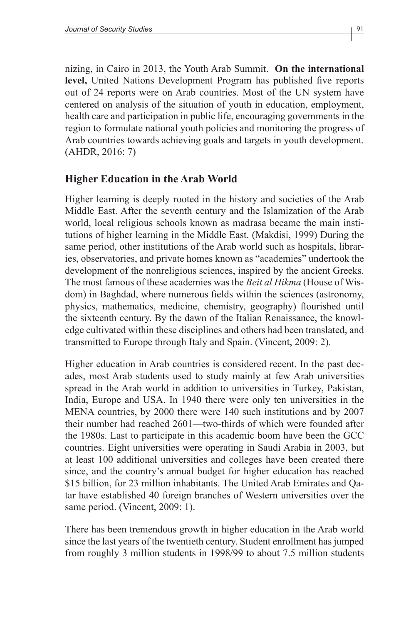nizing, in Cairo in 2013, the Youth Arab Summit. **On the international level,** United Nations Development Program has published five reports out of 24 reports were on Arab countries. Most of the UN system have centered on analysis of the situation of youth in education, employment, health care and participation in public life, encouraging governments in the region to formulate national youth policies and monitoring the progress of Arab countries towards achieving goals and targets in youth development. (AHDR, 2016: 7)

### **Higher Education in the Arab World**

Higher learning is deeply rooted in the history and societies of the Arab Middle East. After the seventh century and the Islamization of the Arab world, local religious schools known as madrasa became the main institutions of higher learning in the Middle East. (Makdisi, 1999) During the same period, other institutions of the Arab world such as hospitals, libraries, observatories, and private homes known as "academies" undertook the development of the nonreligious sciences, inspired by the ancient Greeks. The most famous of these academies was the *Beit al Hikma* (House of Wisdom) in Baghdad, where numerous fields within the sciences (astronomy, physics, mathematics, medicine, chemistry, geography) flourished until the sixteenth century. By the dawn of the Italian Renaissance, the knowledge cultivated within these disciplines and others had been translated, and transmitted to Europe through Italy and Spain. (Vincent, 2009: 2).

Higher education in Arab countries is considered recent. In the past decades, most Arab students used to study mainly at few Arab universities spread in the Arab world in addition to universities in Turkey, Pakistan, India, Europe and USA. In 1940 there were only ten universities in the MENA countries, by 2000 there were 140 such institutions and by 2007 their number had reached 2601—two-thirds of which were founded after the 1980s. Last to participate in this academic boom have been the GCC countries. Eight universities were operating in Saudi Arabia in 2003, but at least 100 additional universities and colleges have been created there since, and the country's annual budget for higher education has reached \$15 billion, for 23 million inhabitants. The United Arab Emirates and Qatar have established 40 foreign branches of Western universities over the same period. (Vincent, 2009: 1).

There has been tremendous growth in higher education in the Arab world since the last years of the twentieth century. Student enrollment has jumped from roughly 3 million students in 1998/99 to about 7.5 million students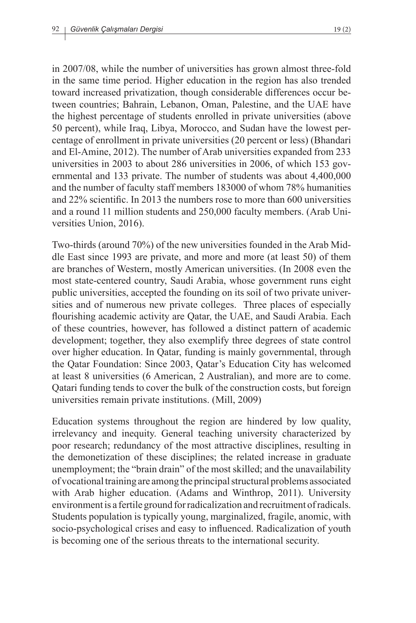in 2007/08, while the number of universities has grown almost three-fold in the same time period. Higher education in the region has also trended toward increased privatization, though considerable differences occur between countries; Bahrain, Lebanon, Oman, Palestine, and the UAE have the highest percentage of students enrolled in private universities (above 50 percent), while Iraq, Libya, Morocco, and Sudan have the lowest percentage of enrollment in private universities (20 percent or less) (Bhandari and El-Amine, 2012). The number of Arab universities expanded from 233 universities in 2003 to about 286 universities in 2006, of which 153 governmental and 133 private. The number of students was about 4,400,000 and the number of faculty staff members 183000 of whom 78% humanities and 22% scientific. In 2013 the numbers rose to more than 600 universities and a round 11 million students and 250,000 faculty members. (Arab Universities Union, 2016).

Two-thirds (around 70%) of the new universities founded in the Arab Middle East since 1993 are private, and more and more (at least 50) of them are branches of Western, mostly American universities. (In 2008 even the most state-centered country, Saudi Arabia, whose government runs eight public universities, accepted the founding on its soil of two private universities and of numerous new private colleges. Three places of especially flourishing academic activity are Qatar, the UAE, and Saudi Arabia. Each of these countries, however, has followed a distinct pattern of academic development; together, they also exemplify three degrees of state control over higher education. In Qatar, funding is mainly governmental, through the Qatar Foundation: Since 2003, Qatar's Education City has welcomed at least 8 universities (6 American, 2 Australian), and more are to come. Qatari funding tends to cover the bulk of the construction costs, but foreign universities remain private institutions. (Mill, 2009)

Education systems throughout the region are hindered by low quality, irrelevancy and inequity. General teaching university characterized by poor research; redundancy of the most attractive disciplines, resulting in the demonetization of these disciplines; the related increase in graduate unemployment; the "brain drain" of the most skilled; and the unavailability of vocational training are among the principal structural problems associated with Arab higher education. (Adams and Winthrop, 2011). University environment is a fertile ground for radicalization and recruitment of radicals. Students population is typically young, marginalized, fragile, anomic, with socio-psychological crises and easy to influenced. Radicalization of youth is becoming one of the serious threats to the international security.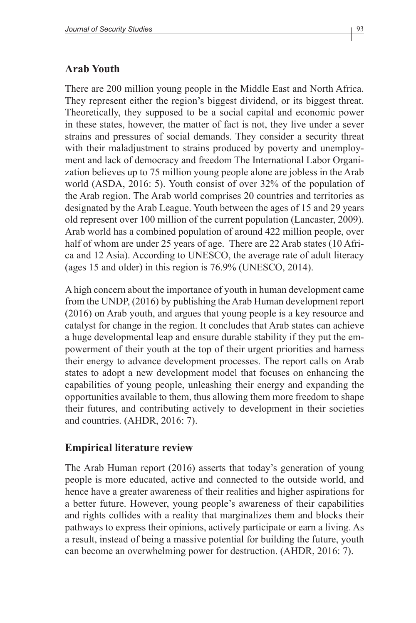#### **Arab Youth**

There are 200 million young people in the Middle East and North Africa. They represent either the region's biggest dividend, or its biggest threat. Theoretically, they supposed to be a social capital and economic power in these states, however, the matter of fact is not, they live under a sever strains and pressures of social demands. They consider a security threat with their maladjustment to strains produced by poverty and unemployment and lack of democracy and freedom The International Labor Organization believes up to 75 million young people alone are jobless in the Arab world (ASDA, 2016: 5). Youth consist of over 32% of the population of the Arab region. The Arab world comprises 20 countries and territories as designated by the Arab League. Youth between the ages of 15 and 29 years old represent over 100 million of the current population (Lancaster, 2009). Arab world has a combined population of around 422 million people, over half of whom are under 25 years of age. There are 22 Arab states (10 Africa and 12 Asia). According to UNESCO, the average rate of adult literacy (ages 15 and older) in this region is 76.9% (UNESCO, 2014).

A high concern about the importance of youth in human development came from the UNDP, (2016) by publishing the Arab Human development report (2016) on Arab youth, and argues that young people is a key resource and catalyst for change in the region. It concludes that Arab states can achieve a huge developmental leap and ensure durable stability if they put the empowerment of their youth at the top of their urgent priorities and harness their energy to advance development processes. The report calls on Arab states to adopt a new development model that focuses on enhancing the capabilities of young people, unleashing their energy and expanding the opportunities available to them, thus allowing them more freedom to shape their futures, and contributing actively to development in their societies and countries. (AHDR, 2016: 7).

#### **Empirical literature review**

The Arab Human report (2016) asserts that today's generation of young people is more educated, active and connected to the outside world, and hence have a greater awareness of their realities and higher aspirations for a better future. However, young people's awareness of their capabilities and rights collides with a reality that marginalizes them and blocks their pathways to express their opinions, actively participate or earn a living. As a result, instead of being a massive potential for building the future, youth can become an overwhelming power for destruction. (AHDR, 2016: 7).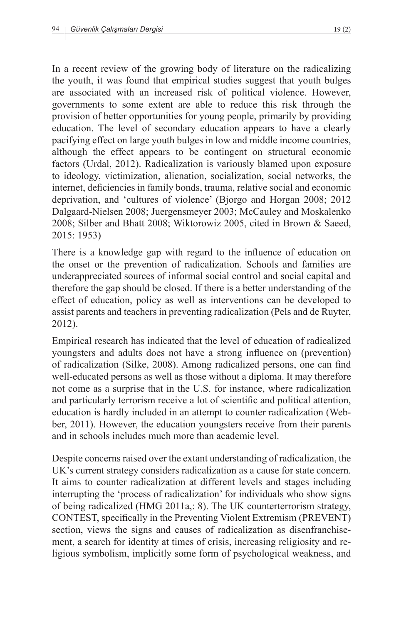In a recent review of the growing body of literature on the radicalizing the youth, it was found that empirical studies suggest that youth bulges are associated with an increased risk of political violence. However, governments to some extent are able to reduce this risk through the provision of better opportunities for young people, primarily by providing education. The level of secondary education appears to have a clearly pacifying effect on large youth bulges in low and middle income countries, although the effect appears to be contingent on structural economic factors (Urdal, 2012). Radicalization is variously blamed upon exposure to ideology, victimization, alienation, socialization, social networks, the internet, deficiencies in family bonds, trauma, relative social and economic deprivation, and 'cultures of violence' (Bjorgo and Horgan 2008; 2012 Dalgaard-Nielsen 2008; Juergensmeyer 2003; McCauley and Moskalenko 2008; Silber and Bhatt 2008; Wiktorowiz 2005, cited in Brown & Saeed, 2015: 1953)

There is a knowledge gap with regard to the influence of education on the onset or the prevention of radicalization. Schools and families are underappreciated sources of informal social control and social capital and therefore the gap should be closed. If there is a better understanding of the effect of education, policy as well as interventions can be developed to assist parents and teachers in preventing radicalization (Pels and de Ruyter, 2012).

Empirical research has indicated that the level of education of radicalized youngsters and adults does not have a strong influence on (prevention) of radicalization (Silke, 2008). Among radicalized persons, one can find well-educated persons as well as those without a diploma. It may therefore not come as a surprise that in the U.S. for instance, where radicalization and particularly terrorism receive a lot of scientific and political attention, education is hardly included in an attempt to counter radicalization (Webber, 2011). However, the education youngsters receive from their parents and in schools includes much more than academic level.

Despite concerns raised over the extant understanding of radicalization, the UK's current strategy considers radicalization as a cause for state concern. It aims to counter radicalization at different levels and stages including interrupting the 'process of radicalization' for individuals who show signs of being radicalized (HMG 2011a,: 8). The UK counterterrorism strategy, CONTEST, specifically in the Preventing Violent Extremism (PREVENT) section, views the signs and causes of radicalization as disenfranchisement, a search for identity at times of crisis, increasing religiosity and religious symbolism, implicitly some form of psychological weakness, and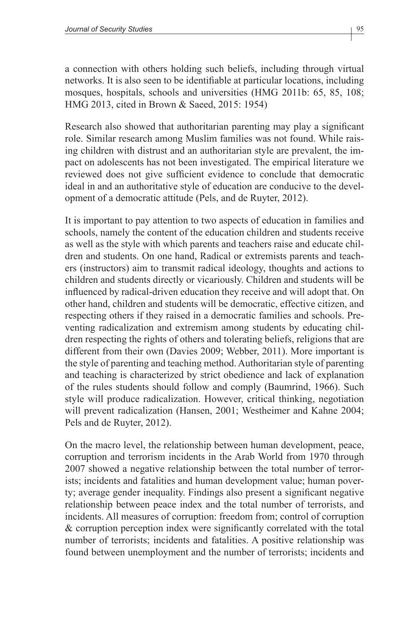a connection with others holding such beliefs, including through virtual networks. It is also seen to be identifiable at particular locations, including mosques, hospitals, schools and universities (HMG 2011b: 65, 85, 108; HMG 2013, cited in Brown & Saeed, 2015: 1954)

Research also showed that authoritarian parenting may play a significant role. Similar research among Muslim families was not found. While raising children with distrust and an authoritarian style are prevalent, the impact on adolescents has not been investigated. The empirical literature we reviewed does not give sufficient evidence to conclude that democratic ideal in and an authoritative style of education are conducive to the development of a democratic attitude (Pels, and de Ruyter, 2012).

It is important to pay attention to two aspects of education in families and schools, namely the content of the education children and students receive as well as the style with which parents and teachers raise and educate children and students. On one hand, Radical or extremists parents and teachers (instructors) aim to transmit radical ideology, thoughts and actions to children and students directly or vicariously. Children and students will be influenced by radical-driven education they receive and will adopt that. On other hand, children and students will be democratic, effective citizen, and respecting others if they raised in a democratic families and schools. Preventing radicalization and extremism among students by educating children respecting the rights of others and tolerating beliefs, religions that are different from their own (Davies 2009; Webber, 2011). More important is the style of parenting and teaching method. Authoritarian style of parenting and teaching is characterized by strict obedience and lack of explanation of the rules students should follow and comply (Baumrind, 1966). Such style will produce radicalization. However, critical thinking, negotiation will prevent radicalization (Hansen, 2001; Westheimer and Kahne 2004; Pels and de Ruyter, 2012).

On the macro level, the relationship between human development, peace, corruption and terrorism incidents in the Arab World from 1970 through 2007 showed a negative relationship between the total number of terrorists; incidents and fatalities and human development value; human poverty; average gender inequality. Findings also present a significant negative relationship between peace index and the total number of terrorists, and incidents. All measures of corruption: freedom from; control of corruption & corruption perception index were significantly correlated with the total number of terrorists; incidents and fatalities. A positive relationship was found between unemployment and the number of terrorists; incidents and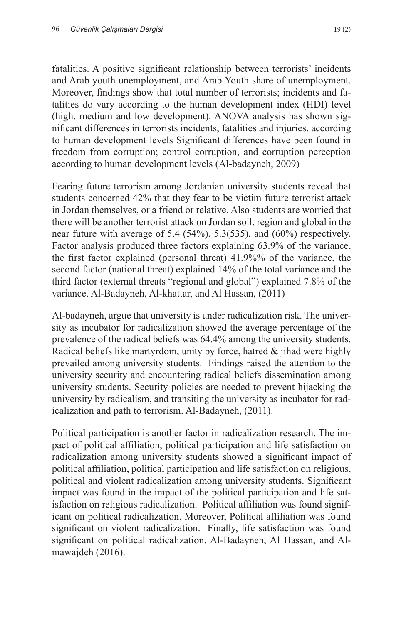fatalities. A positive significant relationship between terrorists' incidents and Arab youth unemployment, and Arab Youth share of unemployment. Moreover, findings show that total number of terrorists; incidents and fatalities do vary according to the human development index (HDI) level (high, medium and low development). ANOVA analysis has shown significant differences in terrorists incidents, fatalities and injuries, according to human development levels Significant differences have been found in freedom from corruption; control corruption, and corruption perception according to human development levels (Al-badayneh, 2009)

Fearing future terrorism among Jordanian university students reveal that students concerned 42% that they fear to be victim future terrorist attack in Jordan themselves, or a friend or relative. Also students are worried that there will be another terrorist attack on Jordan soil, region and global in the near future with average of 5.4 (54%), 5.3(535), and (60%) respectively. Factor analysis produced three factors explaining 63.9% of the variance, the first factor explained (personal threat) 41.9%% of the variance, the second factor (national threat) explained 14% of the total variance and the third factor (external threats "regional and global") explained 7.8% of the variance. Al-Badayneh, Al-khattar, and Al Hassan, (2011)

Al-badayneh, argue that university is under radicalization risk. The university as incubator for radicalization showed the average percentage of the prevalence of the radical beliefs was 64.4% among the university students. Radical beliefs like martyrdom, unity by force, hatred & jihad were highly prevailed among university students. Findings raised the attention to the university security and encountering radical beliefs dissemination among university students. Security policies are needed to prevent hijacking the university by radicalism, and transiting the university as incubator for radicalization and path to terrorism. Al-Badayneh, (2011).

Political participation is another factor in radicalization research. The impact of political affiliation, political participation and life satisfaction on radicalization among university students showed a significant impact of political affiliation, political participation and life satisfaction on religious, political and violent radicalization among university students. Significant impact was found in the impact of the political participation and life satisfaction on religious radicalization. Political affiliation was found significant on political radicalization. Moreover, Political affiliation was found significant on violent radicalization. Finally, life satisfaction was found significant on political radicalization. Al-Badayneh, Al Hassan, and Almawajdeh (2016).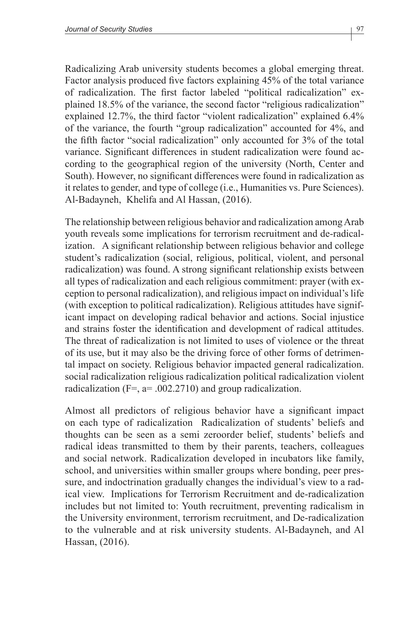Radicalizing Arab university students becomes a global emerging threat. Factor analysis produced five factors explaining 45% of the total variance of radicalization. The first factor labeled "political radicalization" explained 18.5% of the variance, the second factor "religious radicalization" explained 12.7%, the third factor "violent radicalization" explained 6.4% of the variance, the fourth "group radicalization" accounted for 4%, and the fifth factor "social radicalization" only accounted for 3% of the total variance. Significant differences in student radicalization were found according to the geographical region of the university (North, Center and South). However, no significant differences were found in radicalization as it relates to gender, and type of college (i.e., Humanities vs. Pure Sciences). Al-Badayneh, Khelifa and Al Hassan, (2016).

The relationship between religious behavior and radicalization among Arab youth reveals some implications for terrorism recruitment and de-radicalization. A significant relationship between religious behavior and college student's radicalization (social, religious, political, violent, and personal radicalization) was found. A strong significant relationship exists between all types of radicalization and each religious commitment: prayer (with exception to personal radicalization), and religious impact on individual's life (with exception to political radicalization). Religious attitudes have significant impact on developing radical behavior and actions. Social injustice and strains foster the identification and development of radical attitudes. The threat of radicalization is not limited to uses of violence or the threat of its use, but it may also be the driving force of other forms of detrimental impact on society. Religious behavior impacted general radicalization. social radicalization religious radicalization political radicalization violent radicalization ( $F =$ ,  $a = .002.2710$ ) and group radicalization.

Almost all predictors of religious behavior have a significant impact on each type of radicalization Radicalization of students' beliefs and thoughts can be seen as a semi zeroorder belief, students' beliefs and radical ideas transmitted to them by their parents, teachers, colleagues and social network. Radicalization developed in incubators like family, school, and universities within smaller groups where bonding, peer pressure, and indoctrination gradually changes the individual's view to a radical view. Implications for Terrorism Recruitment and de-radicalization includes but not limited to: Youth recruitment, preventing radicalism in the University environment, terrorism recruitment, and De-radicalization to the vulnerable and at risk university students. Al-Badayneh, and Al Hassan, (2016).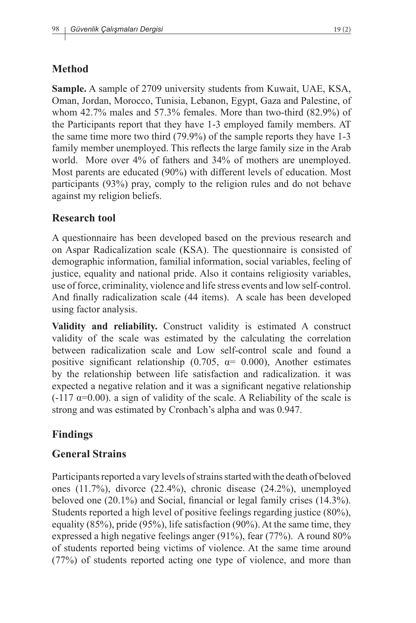# **Method**

**Sample.** A sample of 2709 university students from Kuwait, UAE, KSA, Oman, Jordan, Morocco, Tunisia, Lebanon, Egypt, Gaza and Palestine, of whom 42.7% males and 57.3% females. More than two-third (82.9%) of the Participants report that they have 1-3 employed family members. AT the same time more two third (79.9%) of the sample reports they have 1-3 family member unemployed. This reflects the large family size in the Arab world. More over 4% of fathers and 34% of mothers are unemployed. Most parents are educated (90%) with different levels of education. Most participants (93%) pray, comply to the religion rules and do not behave against my religion beliefs.

## **Research tool**

A questionnaire has been developed based on the previous research and on Aspar Radicalization scale (KSA). The questionnaire is consisted of demographic information, familial information, social variables, feeling of justice, equality and national pride. Also it contains religiosity variables, use of force, criminality, violence and life stress events and low self-control. And finally radicalization scale (44 items). A scale has been developed using factor analysis.

**Validity and reliability.** Construct validity is estimated A construct validity of the scale was estimated by the calculating the correlation between radicalization scale and Low self-control scale and found a positive significant relationship (0.705,  $\alpha$  = 0.000), Another estimates by the relationship between life satisfaction and radicalization. it was expected a negative relation and it was a significant negative relationship  $(-117 \alpha=0.00)$ . a sign of validity of the scale. A Reliability of the scale is strong and was estimated by Cronbach's alpha and was 0.947.

# **Findings**

### **General Strains**

Participants reported a vary levels of strains started with the death of beloved ones (11.7%), divorce (22.4%), chronic disease (24.2%), unemployed beloved one (20.1%) and Social, financial or legal family crises (14.3%). Students reported a high level of positive feelings regarding justice (80%), equality (85%), pride (95%), life satisfaction (90%). At the same time, they expressed a high negative feelings anger (91%), fear (77%). A round 80% of students reported being victims of violence. At the same time around (77%) of students reported acting one type of violence, and more than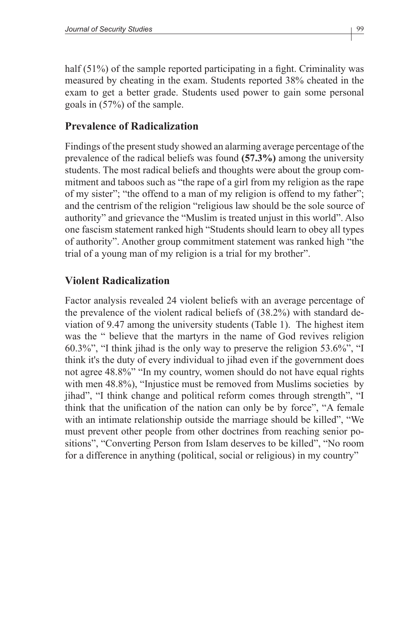half (51%) of the sample reported participating in a fight. Criminality was measured by cheating in the exam. Students reported 38% cheated in the exam to get a better grade. Students used power to gain some personal goals in (57%) of the sample.

#### **Prevalence of Radicalization**

Findings of the present study showed an alarming average percentage of the prevalence of the radical beliefs was found **(57.3%)** among the university students. The most radical beliefs and thoughts were about the group commitment and taboos such as "the rape of a girl from my religion as the rape of my sister"; "the offend to a man of my religion is offend to my father"; and the centrism of the religion "religious law should be the sole source of authority" and grievance the "Muslim is treated unjust in this world". Also one fascism statement ranked high "Students should learn to obey all types of authority". Another group commitment statement was ranked high "the trial of a young man of my religion is a trial for my brother".

### **Violent Radicalization**

Factor analysis revealed 24 violent beliefs with an average percentage of the prevalence of the violent radical beliefs of (38.2%) with standard deviation of 9.47 among the university students (Table 1). The highest item was the " believe that the martyrs in the name of God revives religion 60.3%", "I think jihad is the only way to preserve the religion 53.6%", "I think it's the duty of every individual to jihad even if the government does not agree 48.8%" "In my country, women should do not have equal rights with men 48.8%), "Injustice must be removed from Muslims societies by jihad", "I think change and political reform comes through strength", "I think that the unification of the nation can only be by force", "A female with an intimate relationship outside the marriage should be killed", "We must prevent other people from other doctrines from reaching senior positions", "Converting Person from Islam deserves to be killed", "No room for a difference in anything (political, social or religious) in my country"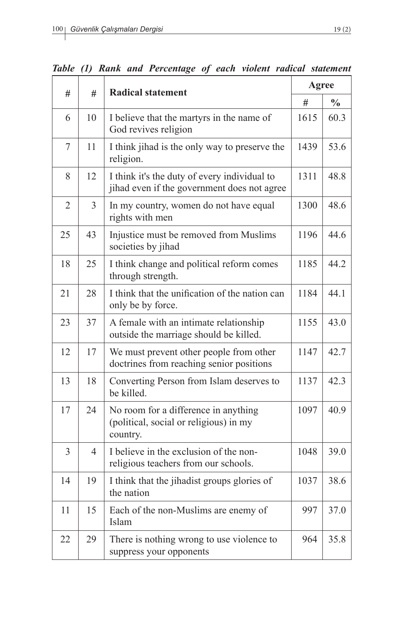| #<br>#         |                | <b>Radical statement</b>                                                                    |      | Agree         |  |  |
|----------------|----------------|---------------------------------------------------------------------------------------------|------|---------------|--|--|
|                |                |                                                                                             | #    | $\frac{6}{6}$ |  |  |
| 6              | 10             | I believe that the martyrs in the name of<br>God revives religion                           | 1615 | 60.3          |  |  |
| 7              | 11             | I think jihad is the only way to preserve the<br>religion.                                  | 1439 | 53.6          |  |  |
| 8              | 12             | I think it's the duty of every individual to<br>jihad even if the government does not agree | 1311 | 48.8          |  |  |
| $\overline{2}$ | $\overline{3}$ | In my country, women do not have equal<br>rights with men                                   |      | 48.6          |  |  |
| 25             | 43             | Injustice must be removed from Muslims<br>societies by jihad                                | 1196 | 44.6          |  |  |
| 18             | 25             | I think change and political reform comes<br>through strength.                              | 1185 | 44.2          |  |  |
| 21             | 28             | I think that the unification of the nation can<br>only be by force.                         |      | 44.1          |  |  |
| 23             | 37             | A female with an intimate relationship<br>outside the marriage should be killed.            | 1155 | 43.0          |  |  |
| 12             | 17             | We must prevent other people from other<br>doctrines from reaching senior positions         | 1147 | 42.7          |  |  |
| 13             | 18             | Converting Person from Islam deserves to<br>be killed.                                      | 1137 | 42.3          |  |  |
| 17             | 24             | No room for a difference in anything<br>(political, social or religious) in my<br>country.  | 1097 | 40.9          |  |  |
| $\overline{3}$ | $\overline{4}$ | I believe in the exclusion of the non-<br>religious teachers from our schools.              | 1048 | 39.0          |  |  |
| 14             | 19             | I think that the jihadist groups glories of<br>the nation                                   | 1037 | 38.6          |  |  |
| 11             | 15             | Each of the non-Muslims are enemy of<br>Islam                                               | 997  | 37.0          |  |  |
| 22             | 29             | There is nothing wrong to use violence to<br>suppress your opponents                        | 964  | 35.8          |  |  |

*Table (1) Rank and Percentage of each violent radical statement*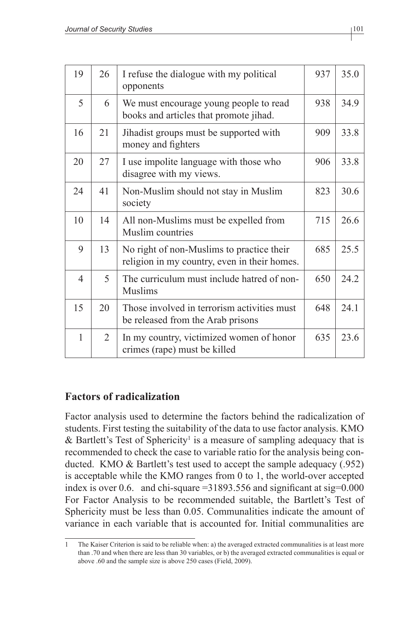| 19             | 26 | I refuse the dialogue with my political<br>opponents                                      | 937 | 35.0 |
|----------------|----|-------------------------------------------------------------------------------------------|-----|------|
| 5              | 6  | We must encourage young people to read<br>books and articles that promote jihad.          | 938 | 34.9 |
| 16             | 21 | Jihadist groups must be supported with<br>money and fighters                              | 909 | 33.8 |
| 20             | 27 | I use impolite language with those who<br>disagree with my views.                         | 906 | 33.8 |
| 24             | 41 | Non-Muslim should not stay in Muslim<br>society                                           | 823 | 30.6 |
| 10             | 14 | All non-Muslims must be expelled from<br>Muslim countries                                 | 715 | 26.6 |
| 9              | 13 | No right of non-Muslims to practice their<br>religion in my country, even in their homes. | 685 | 25.5 |
| $\overline{4}$ | 5  | The curriculum must include hatred of non-<br><b>Muslims</b>                              | 650 | 24.2 |
| 15             | 20 | Those involved in terrorism activities must<br>be released from the Arab prisons          | 648 | 24.1 |
| 1              | 2  | In my country, victimized women of honor<br>crimes (rape) must be killed                  | 635 | 23.6 |

## **Factors of radicalization**

Factor analysis used to determine the factors behind the radicalization of students. First testing the suitability of the data to use factor analysis. KMO  $\&$  Bartlett's Test of Sphericity<sup>1</sup> is a measure of sampling adequacy that is recommended to check the case to variable ratio for the analysis being conducted. KMO & Bartlett's test used to accept the sample adequacy (.952) is acceptable while the KMO ranges from 0 to 1, the world-over accepted index is over 0.6. and chi-square  $=$  31893.556 and significant at sig=0.000 For Factor Analysis to be recommended suitable, the Bartlett's Test of Sphericity must be less than 0.05. Communalities indicate the amount of variance in each variable that is accounted for. Initial communalities are

<sup>1</sup> The Kaiser Criterion is said to be reliable when: a) the averaged extracted communalities is at least more than .70 and when there are less than 30 variables, or b) the averaged extracted communalities is equal or above .60 and the sample size is above 250 cases (Field, 2009).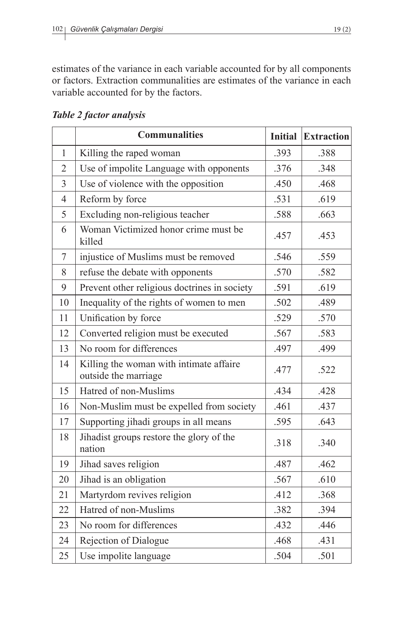estimates of the variance in each variable accounted for by all components or factors. Extraction communalities are estimates of the variance in each variable accounted for by the factors.

*Table 2 factor analysis*

|                | <b>Communalities</b>                                            | <b>Initial</b> | <b>Extraction</b> |
|----------------|-----------------------------------------------------------------|----------------|-------------------|
| $\mathbf{1}$   | Killing the raped woman                                         | .393           | .388              |
| $\overline{2}$ | Use of impolite Language with opponents                         | .376           | .348              |
| $\overline{3}$ | Use of violence with the opposition                             | .450           | .468              |
| $\overline{4}$ | Reform by force                                                 | .531           | .619              |
| 5              | Excluding non-religious teacher                                 | .588           | .663              |
| 6              | Woman Victimized honor crime must be<br>killed                  | .457           | .453              |
| $\tau$         | injustice of Muslims must be removed                            | .546           | .559              |
| 8              | refuse the debate with opponents                                | .570           | .582              |
| 9              | Prevent other religious doctrines in society                    | .591           | .619              |
| 10             | Inequality of the rights of women to men                        | .502           | .489              |
| 11             | Unification by force                                            | .529           | .570              |
| 12             | Converted religion must be executed                             | .567           | .583              |
| 13             | No room for differences                                         | .497           | .499              |
| 14             | Killing the woman with intimate affaire<br>outside the marriage | .477           | .522              |
| 15             | Hatred of non-Muslims                                           | .434           | .428              |
| 16             | Non-Muslim must be expelled from society                        | .461           | .437              |
| 17             | Supporting jihadi groups in all means                           | .595           | .643              |
| 18             | Jihadist groups restore the glory of the<br>nation              | .318           | .340              |
| 19             | Jihad saves religion                                            | .487           | .462              |
| 20             | Jihad is an obligation                                          | .567           | .610              |
| 21             | Martyrdom revives religion                                      | .412           | .368              |
| 22             | Hatred of non-Muslims                                           | .382           | .394              |
| 23             | No room for differences                                         | .432           | .446              |
| 24             | Rejection of Dialogue                                           | .468           | .431              |
| 25             | Use impolite language                                           | .504           | .501              |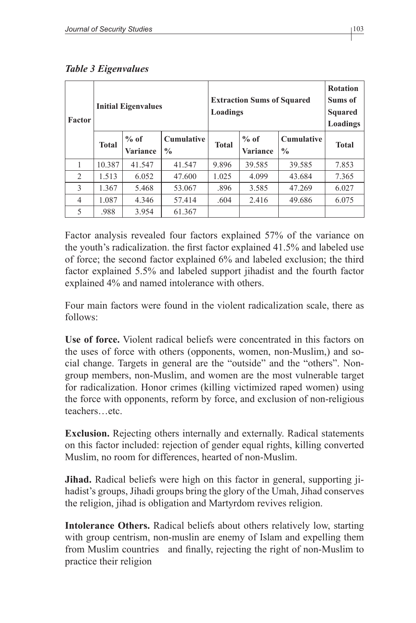| <b>Factor</b>  |              | <b>Initial Eigenvalues</b> |                                    | Loadings     | <b>Extraction Sums of Squared</b> |                                    | <b>Rotation</b><br>Sums of<br><b>Squared</b><br>Loadings |
|----------------|--------------|----------------------------|------------------------------------|--------------|-----------------------------------|------------------------------------|----------------------------------------------------------|
|                | <b>Total</b> | $%$ of<br><b>Variance</b>  | <b>Cumulative</b><br>$\frac{0}{0}$ | <b>Total</b> | $%$ of<br><b>Variance</b>         | <b>Cumulative</b><br>$\frac{0}{0}$ | <b>Total</b>                                             |
| 1              | 10.387       | 41.547                     | 41.547                             | 9.896        | 39.585                            | 39.585                             | 7.853                                                    |
| $\mathfrak{D}$ | 1.513        | 6.052                      | 47.600                             | 1.025        | 4.099                             | 43.684                             | 7.365                                                    |
| 3              | 1.367        | 5.468                      | 53.067                             | .896         | 3.585                             | 47.269                             | 6.027                                                    |
| 4              | 1.087        | 4.346                      | 57.414                             | .604         | 2.416                             | 49.686                             | 6.075                                                    |
| 5              | .988         | 3.954                      | 61.367                             |              |                                   |                                    |                                                          |

*Table 3 Eigenvalues*

Factor analysis revealed four factors explained 57% of the variance on the youth's radicalization. the first factor explained 41.5% and labeled use of force; the second factor explained 6% and labeled exclusion; the third factor explained 5.5% and labeled support jihadist and the fourth factor explained 4% and named intolerance with others.

Four main factors were found in the violent radicalization scale, there as follows:

**Use of force.** Violent radical beliefs were concentrated in this factors on the uses of force with others (opponents, women, non-Muslim,) and social change. Targets in general are the "outside" and the "others". Nongroup members, non-Muslim, and women are the most vulnerable target for radicalization. Honor crimes (killing victimized raped women) using the force with opponents, reform by force, and exclusion of non-religious teachers…etc.

**Exclusion.** Rejecting others internally and externally. Radical statements on this factor included: rejection of gender equal rights, killing converted Muslim, no room for differences, hearted of non-Muslim.

**Jihad.** Radical beliefs were high on this factor in general, supporting jihadist's groups, Jihadi groups bring the glory of the Umah, Jihad conserves the religion, jihad is obligation and Martyrdom revives religion.

**Intolerance Others.** Radical beliefs about others relatively low, starting with group centrism, non-muslin are enemy of Islam and expelling them from Muslim countries and finally, rejecting the right of non-Muslim to practice their religion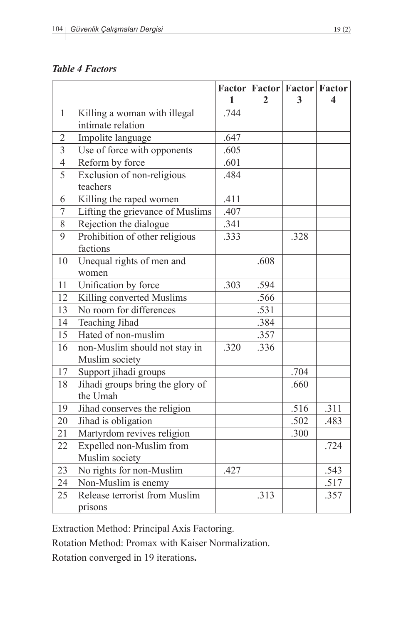#### *Table 4 Factors*

|                |                                  |      |              | <b>Factor   Factor   Factor   Factor</b> |      |
|----------------|----------------------------------|------|--------------|------------------------------------------|------|
|                |                                  | 1    | $\mathbf{2}$ | 3                                        | 4    |
| $\mathbf{1}$   | Killing a woman with illegal     | .744 |              |                                          |      |
|                | intimate relation                |      |              |                                          |      |
| $\overline{2}$ | Impolite language                | .647 |              |                                          |      |
| $\overline{3}$ | Use of force with opponents      | .605 |              |                                          |      |
| $\overline{4}$ | Reform by force                  | .601 |              |                                          |      |
| 5              | Exclusion of non-religious       | .484 |              |                                          |      |
|                | teachers                         |      |              |                                          |      |
| 6              | Killing the raped women          | .411 |              |                                          |      |
| $\sqrt{ }$     | Lifting the grievance of Muslims | .407 |              |                                          |      |
| 8              | Rejection the dialogue           | .341 |              |                                          |      |
| 9              | Prohibition of other religious   | .333 |              | .328                                     |      |
|                | factions                         |      |              |                                          |      |
| 10             | Unequal rights of men and        |      | .608         |                                          |      |
|                | women                            |      |              |                                          |      |
| 11             | Unification by force             | .303 | .594         |                                          |      |
| 12             | Killing converted Muslims        |      | .566         |                                          |      |
| 13             | No room for differences          |      | .531         |                                          |      |
| 14             | <b>Teaching Jihad</b>            |      | .384         |                                          |      |
| 15             | Hated of non-muslim              |      | .357         |                                          |      |
| 16             | non-Muslim should not stay in    | .320 | .336         |                                          |      |
|                | Muslim society                   |      |              |                                          |      |
| 17             | Support jihadi groups            |      |              | .704                                     |      |
| 18             | Jihadi groups bring the glory of |      |              | .660                                     |      |
|                | the Umah                         |      |              |                                          |      |
| 19             | Jihad conserves the religion     |      |              | .516                                     | .311 |
| 20             | Jihad is obligation              |      |              | .502                                     | .483 |
| 21             | Martyrdom revives religion       |      |              | .300                                     |      |
| 22             | Expelled non-Muslim from         |      |              |                                          | .724 |
|                | Muslim society                   |      |              |                                          |      |
| 23             | No rights for non-Muslim         | .427 |              |                                          | .543 |
| 24             | Non-Muslim is enemy              |      |              |                                          | .517 |
| 25             | Release terrorist from Muslim    |      | .313         |                                          | .357 |
|                | prisons                          |      |              |                                          |      |

Extraction Method: Principal Axis Factoring.

Rotation Method: Promax with Kaiser Normalization.

Rotation converged in 19 iterations**.**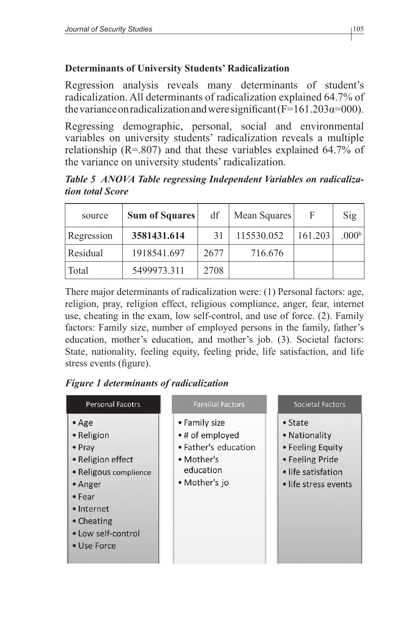## **Determinants of University Students' Radicalization**

Regression analysis reveals many determinants of student's radicalization. All determinants of radicalization explained 64.7% of the variance on radicalization and were significant  $(F=161.203\alpha=000)$ .

Regressing demographic, personal, social and environmental variables on university students' radicalization reveals a multiple relationship  $(R=0.807)$  and that these variables explained 64.7% of the variance on university students' radicalization.

*Table 5 ANOVA Table regressing Independent Variables on radicalization total Score*

| source     | <b>Sum of Squares</b> | df   | Mean Squares | F       | Sig               |
|------------|-----------------------|------|--------------|---------|-------------------|
| Regression | 3581431.614           | 31   | 115530.052   | 161.203 | .000 <sup>b</sup> |
| Residual   | 1918541.697           | 2677 | 716.676      |         |                   |
| Total      | 5499973.311           | 2708 |              |         |                   |

There major determinants of radicalization were: (1) Personal factors: age, religion, pray, religion effect, religious compliance, anger, fear, internet use, cheating in the exam, low self-control, and use of force. (2). Family factors: Family size, number of employed persons in the family, father's education, mother's education, and mother's job. (3). Societal factors: State, nationality, feeling equity, feeling pride, life satisfaction, and life stress events (figure).

# *Figure 1 determinants of radicalization*

| <b>Personal Facotrs</b>                                                                                                                                                                     | <b>Familial Factors</b>                                                                             | Societal Factors                                                                                                      |
|---------------------------------------------------------------------------------------------------------------------------------------------------------------------------------------------|-----------------------------------------------------------------------------------------------------|-----------------------------------------------------------------------------------------------------------------------|
| $\bullet$ Age<br>• Religion<br>$\bullet$ Pray<br>• Religion effect<br>· Religous complience<br>$\bullet$ Anger<br>$•$ Fear<br>• Internet<br>• Cheating<br>• Low self-control<br>• Use Force | • Family size<br>•# of employed<br>• Father's education<br>• Mother's<br>education<br>• Mother's jo | $\bullet$ State<br>• Nationality<br>• Feeling Equity<br>• Feeling Pride<br>• life satisfation<br>• life stress events |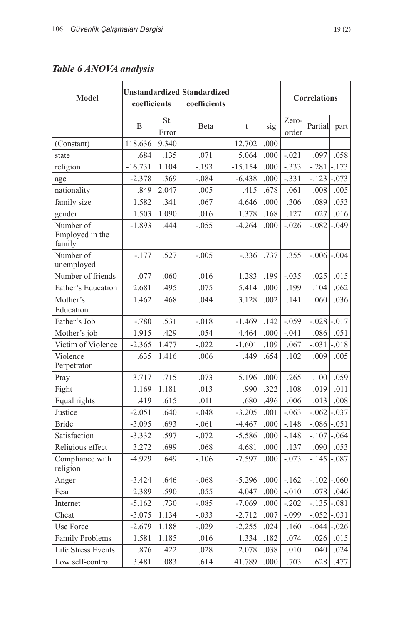## *Table 6 ANOVA analysis*

| Model                                  | coefficients |              | Unstandardized Standardized<br>coefficients |           |          |                | <b>Correlations</b> |             |  |
|----------------------------------------|--------------|--------------|---------------------------------------------|-----------|----------|----------------|---------------------|-------------|--|
|                                        | B            | St.<br>Error | Beta                                        | t         | sig      | Zero-<br>order | Partial             | part        |  |
| (Constant)                             | 118.636      | 9.340        |                                             | 12.702    | .000     |                |                     |             |  |
| state                                  | .684         | .135         | .071                                        | 5.064     | .000     | $-.021$        | .097                | .058        |  |
| religion                               | $-16.731$    | 1.104        | $-.193$                                     | $-15.154$ | .000     | $-.333$        | $-.281$             | $-.173$     |  |
| age                                    | $-2.378$     | .369         | $-.084$                                     | $-6.438$  | .000     | $-.331$        | $-.123$             | $-.073$     |  |
| nationality                            | .849         | 2.047        | .005                                        | .415      | .678     | .061           | .008                | .005        |  |
| family size                            | 1.582        | .341         | .067                                        | 4.646     | .000     | .306           | .089                | .053        |  |
| gender                                 | 1.503        | 1.090        | .016                                        | 1.378     | .168     | .127           | .027                | .016        |  |
| Number of<br>Employed in the<br>family | $-1.893$     | .444         | $-.055$                                     | $-4.264$  | .000     | $-.026$        | $-.082$             | $-.049$     |  |
| Number of<br>unemployed                | $-.177$      | .527         | $-.005$                                     | $-.336$   | .737     | .355           | $-.006$             | $-.004$     |  |
| Number of friends                      | .077         | .060         | .016                                        | 1.283     | .199     | $-.035$        | .025                | .015        |  |
| Father's Education                     | 2.681        | .495         | .075                                        | 5.414     | .000     | .199           | .104                | .062        |  |
| Mother's                               | 1.462        | .468         | .044                                        | 3.128     | .002     | .141           | .060                | .036        |  |
| Education                              |              |              |                                             |           |          |                |                     |             |  |
| Father's Job                           | $-.780$      | .531         | $-.018$                                     | $-1.469$  | .142     | $-.059$        | $-.028$             | $-.017$     |  |
| Mother's job                           | 1.915        | .429         | .054                                        | 4.464     | .000     | $-.041$        | .086                | .051        |  |
| Victim of Violence                     | $-2.365$     | 1.477        | $-.022$                                     | $-1.601$  | .109     | .067           | $-.031$             | $-.018$     |  |
| Violence<br>Perpetrator                | .635         | 1.416        | .006                                        | .449      | .654     | .102           | .009                | .005        |  |
| Pray                                   | 3.717        | .715         | .073                                        | 5.196     | .000     | .265           | .100                | .059        |  |
| Fight                                  | 1.169        | 1.181        | .013                                        | .990      | .322     | .108           | .019                | .011        |  |
| Equal rights                           | .419         | .615         | .011                                        | .680      | .496     | .006           | .013                | .008        |  |
| Justice                                | $-2.051$     | .640         | $-.048$                                     | $-3.205$  | .001     | $-.063$        | $-.062$             | $-.037$     |  |
| <b>Bride</b>                           | $-3.095$     | .693         | $-.061$                                     | $-4.467$  | .000     | $-.148$        | $-.086$ $-.051$     |             |  |
| Satisfaction                           | $-3.332$     | .597         | $-.072$                                     | $-5.586$  | .000     | $-.148$        | $-.107$             | $-.064$     |  |
| Religious effect                       | 3.272        | .699         | .068                                        | 4.681     | .000     | .137           | .090                | .053        |  |
| Compliance with<br>religion            | $-4.929$     | .649         | $-.106$                                     | $-7.597$  | .000     | $-.073$        | $-.145$             | $-.087$     |  |
| Anger                                  | $-3.424$     | .646         | $-.068$                                     | $-5.296$  | .000     | $-.162$        | $-.102$ $-.060$     |             |  |
| Fear                                   | 2.389        | .590         | .055                                        | 4.047     | .000     | $-.010$        |                     | $.078$ .046 |  |
| Internet                               | $-5.162$     | .730         | $-.085$                                     | $-7.069$  | .000     | $-.202$        | $-.135$ $-.081$     |             |  |
| Cheat                                  | $-3.075$     | 1.134        | $-.033$                                     | $-2.712$  | $.007$   | $-.099$        | $-.052$             | $-.031$     |  |
| Use Force                              | $-2.679$     | 1.188        | $-.029$                                     | $-2.255$  | .024     | .160           | $-.044$             | $-.026$     |  |
| <b>Family Problems</b>                 | 1.581        | 1.185        | .016                                        | 1.334     | .182     | .074           | .026                | .015        |  |
| Life Stress Events                     | .876         | .422         | .028                                        | 2.078     | .038     | .010           | .040                | .024        |  |
| Low self-control                       | 3.481        | .083         | .614                                        | 41.789    | $.000\,$ | .703           | .628                | .477        |  |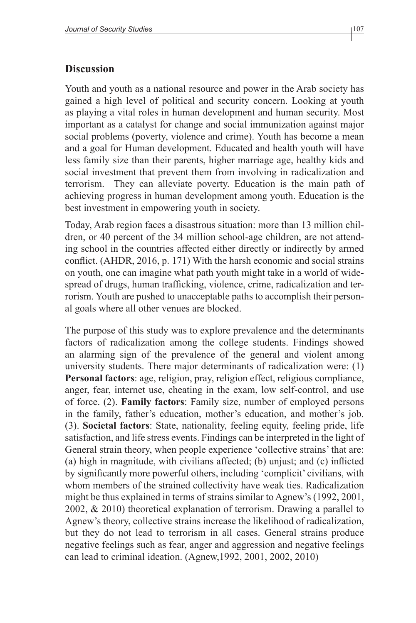#### **Discussion**

Youth and youth as a national resource and power in the Arab society has gained a high level of political and security concern. Looking at youth as playing a vital roles in human development and human security. Most important as a catalyst for change and social immunization against major social problems (poverty, violence and crime). Youth has become a mean and a goal for Human development. Educated and health youth will have less family size than their parents, higher marriage age, healthy kids and social investment that prevent them from involving in radicalization and terrorism. They can alleviate poverty. Education is the main path of achieving progress in human development among youth. Education is the best investment in empowering youth in society.

Today, Arab region faces a disastrous situation: more than 13 million children, or 40 percent of the 34 million school-age children, are not attending school in the countries affected either directly or indirectly by armed conflict. (AHDR, 2016, p. 171) With the harsh economic and social strains on youth, one can imagine what path youth might take in a world of widespread of drugs, human trafficking, violence, crime, radicalization and terrorism. Youth are pushed to unacceptable paths to accomplish their personal goals where all other venues are blocked.

The purpose of this study was to explore prevalence and the determinants factors of radicalization among the college students. Findings showed an alarming sign of the prevalence of the general and violent among university students. There major determinants of radicalization were: (1) **Personal factors**: age, religion, pray, religion effect, religious compliance, anger, fear, internet use, cheating in the exam, low self-control, and use of force. (2). **Family factors**: Family size, number of employed persons in the family, father's education, mother's education, and mother's job. (3). **Societal factors**: State, nationality, feeling equity, feeling pride, life satisfaction, and life stress events. Findings can be interpreted in the light of General strain theory, when people experience 'collective strains' that are: (a) high in magnitude, with civilians affected; (b) unjust; and (c) inflicted by significantly more powerful others, including 'complicit' civilians, with whom members of the strained collectivity have weak ties. Radicalization might be thus explained in terms of strains similar to Agnew's (1992, 2001, 2002, & 2010) theoretical explanation of terrorism. Drawing a parallel to Agnew's theory, collective strains increase the likelihood of radicalization, but they do not lead to terrorism in all cases. General strains produce negative feelings such as fear, anger and aggression and negative feelings can lead to criminal ideation. (Agnew,1992, 2001, 2002, 2010)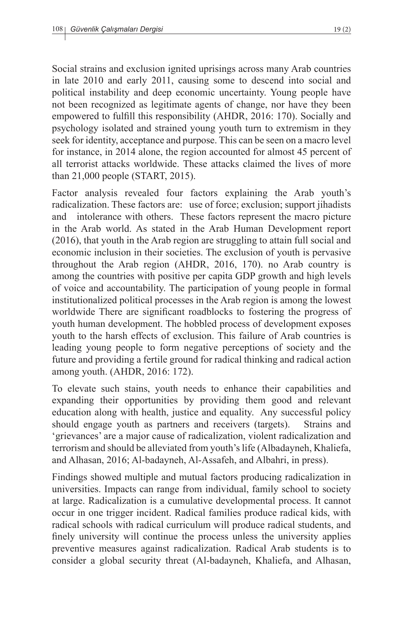Social strains and exclusion ignited uprisings across many Arab countries in late 2010 and early 2011, causing some to descend into social and political instability and deep economic uncertainty. Young people have not been recognized as legitimate agents of change, nor have they been empowered to fulfill this responsibility (AHDR, 2016: 170). Socially and psychology isolated and strained young youth turn to extremism in they seek for identity, acceptance and purpose. This can be seen on a macro level for instance, in 2014 alone, the region accounted for almost 45 percent of all terrorist attacks worldwide. These attacks claimed the lives of more than 21,000 people (START, 2015).

Factor analysis revealed four factors explaining the Arab youth's radicalization. These factors are: use of force; exclusion; support jihadists and intolerance with others. These factors represent the macro picture in the Arab world. As stated in the Arab Human Development report (2016), that youth in the Arab region are struggling to attain full social and economic inclusion in their societies. The exclusion of youth is pervasive throughout the Arab region (AHDR, 2016, 170). no Arab country is among the countries with positive per capita GDP growth and high levels of voice and accountability. The participation of young people in formal institutionalized political processes in the Arab region is among the lowest worldwide There are significant roadblocks to fostering the progress of youth human development. The hobbled process of development exposes youth to the harsh effects of exclusion. This failure of Arab countries is leading young people to form negative perceptions of society and the future and providing a fertile ground for radical thinking and radical action among youth. (AHDR, 2016: 172).

To elevate such stains, youth needs to enhance their capabilities and expanding their opportunities by providing them good and relevant education along with health, justice and equality. Any successful policy should engage youth as partners and receivers (targets). Strains and 'grievances' are a major cause of radicalization, violent radicalization and terrorism and should be alleviated from youth's life (Albadayneh, Khaliefa, and Alhasan, 2016; Al-badayneh, Al-Assafeh, and Albahri, in press).

Findings showed multiple and mutual factors producing radicalization in universities. Impacts can range from individual, family school to society at large. Radicalization is a cumulative developmental process. It cannot occur in one trigger incident. Radical families produce radical kids, with radical schools with radical curriculum will produce radical students, and finely university will continue the process unless the university applies preventive measures against radicalization. Radical Arab students is to consider a global security threat (Al-badayneh, Khaliefa, and Alhasan,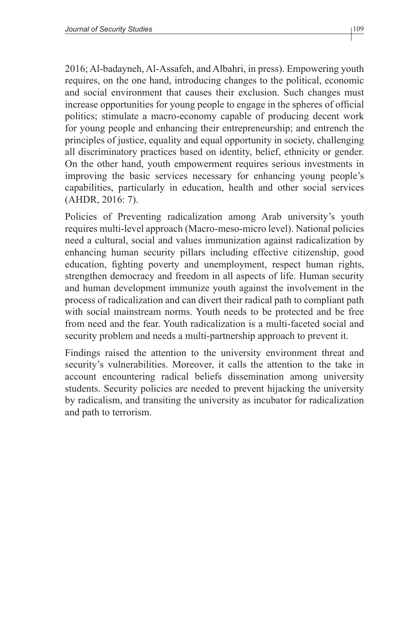2016; Al-badayneh, Al-Assafeh, and Albahri, in press). Empowering youth requires, on the one hand, introducing changes to the political, economic and social environment that causes their exclusion. Such changes must increase opportunities for young people to engage in the spheres of official politics; stimulate a macro-economy capable of producing decent work for young people and enhancing their entrepreneurship; and entrench the principles of justice, equality and equal opportunity in society, challenging all discriminatory practices based on identity, belief, ethnicity or gender. On the other hand, youth empowerment requires serious investments in improving the basic services necessary for enhancing young people's capabilities, particularly in education, health and other social services (AHDR, 2016: 7).

Policies of Preventing radicalization among Arab university's youth requires multi-level approach (Macro-meso-micro level). National policies need a cultural, social and values immunization against radicalization by enhancing human security pillars including effective citizenship, good education, fighting poverty and unemployment, respect human rights, strengthen democracy and freedom in all aspects of life. Human security and human development immunize youth against the involvement in the process of radicalization and can divert their radical path to compliant path with social mainstream norms. Youth needs to be protected and be free from need and the fear. Youth radicalization is a multi-faceted social and security problem and needs a multi-partnership approach to prevent it.

Findings raised the attention to the university environment threat and security's vulnerabilities. Moreover, it calls the attention to the take in account encountering radical beliefs dissemination among university students. Security policies are needed to prevent hijacking the university by radicalism, and transiting the university as incubator for radicalization and path to terrorism.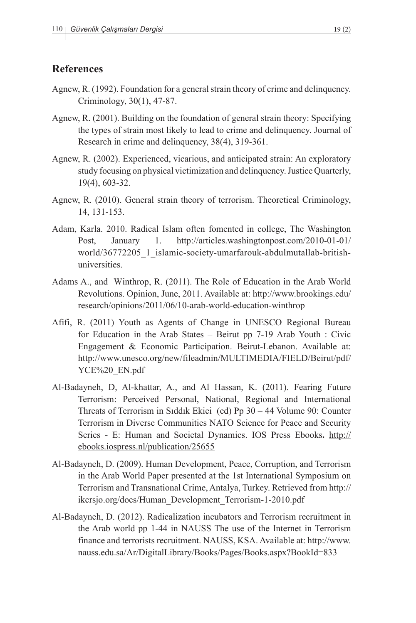#### **References**

- Agnew, R. (1992). Foundation for a general strain theory of crime and delinquency. Criminology, 30(1), 47-87.
- Agnew, R. (2001). Building on the foundation of general strain theory: Specifying the types of strain most likely to lead to crime and delinquency. Journal of Research in crime and delinquency, 38(4), 319-361.
- Agnew, R. (2002). Experienced, vicarious, and anticipated strain: An exploratory study focusing on physical victimization and delinquency. Justice Quarterly, 19(4), 603-32.
- Agnew, R. (2010). General strain theory of terrorism. Theoretical Criminology, 14, 131-153.
- Adam, Karla. 2010. Radical Islam often fomented in college, The Washington Post, January 1. http://articles.washingtonpost.com/2010-01-01/ world/36772205\_1\_islamic-society-umarfarouk-abdulmutallab-britishuniversities.
- Adams A., and Winthrop, R. (2011). The Role of Education in the Arab World Revolutions. Opinion, June, 2011. Available at: http://www.brookings.edu/ research/opinions/2011/06/10-arab-world-education-winthrop
- Afifi, R. (2011) Youth as Agents of Change in UNESCO Regional Bureau for Education in the Arab States – Beirut pp 7-19 Arab Youth : Civic Engagement & Economic Participation. Beirut-Lebanon. Available at: http://www.unesco.org/new/fileadmin/MULTIMEDIA/FIELD/Beirut/pdf/ YCE%20\_EN.pdf
- Al-Badayneh, D, Al-khattar, A., and Al Hassan, K. (2011). Fearing Future Terrorism: Perceived Personal, National, Regional and International Threats of Terrorism in Sıddık Ekici (ed) Pp 30 – 44 Volume 90: Counter Terrorism in Diverse Communities NATO Science for Peace and Security Series - E: Human and Societal Dynamics. IOS Press Ebooks**.** http:// ebooks.iospress.nl/publication/25655
- Al-Badayneh, D. (2009). Human Development, Peace, Corruption, and Terrorism in the Arab World Paper presented at the 1st International Symposium on Terrorism and Transnational Crime, Antalya, Turkey. Retrieved from http:// ikcrsjo.org/docs/Human\_Development\_Terrorism-1-2010.pdf
- Al-Badayneh, D. (2012). Radicalization incubators and Terrorism recruitment in the Arab world pp 1-44 in NAUSS The use of the Internet in Terrorism finance and terrorists recruitment. NAUSS, KSA. Available at: http://www. nauss.edu.sa/Ar/DigitalLibrary/Books/Pages/Books.aspx?BookId=833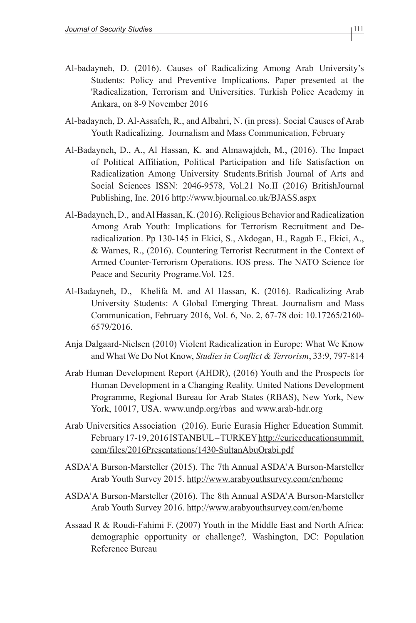- Al-badayneh, D. (2016). Causes of Radicalizing Among Arab University's Students: Policy and Preventive Implications. Paper presented at the 'Radicalization, Terrorism and Universities. Turkish Police Academy in Ankara, on 8-9 November 2016
- Al-badayneh, D. Al-Assafeh, R., and Albahri, N. (in press). Social Causes of Arab Youth Radicalizing. Journalism and Mass Communication, February
- Al-Badayneh, D., A., Al Hassan, K. and Almawajdeh, M., (2016). The Impact of Political Affiliation, Political Participation and life Satisfaction on Radicalization Among University Students.British Journal of Arts and Social Sciences ISSN: 2046-9578, Vol.21 No.II (2016) BritishJournal Publishing, Inc. 2016 http://www.bjournal.co.uk/BJASS.aspx
- Al-Badayneh, D., and Al Hassan, K. (2016). Religious Behavior and Radicalization Among Arab Youth: Implications for Terrorism Recruitment and Deradicalization. Pp 130-145 in Ekici, S., Akdogan, H., Ragab E., Ekici, A., & Warnes, R., (2016). Countering Terrorist Recrutment in the Context of Armed Counter-Terrorism Operations. IOS press. The NATO Science for Peace and Security Programe.Vol. 125.
- Al-Badayneh, D., Khelifa M. and Al Hassan, K. (2016). Radicalizing Arab University Students: A Global Emerging Threat. Journalism and Mass Communication, February 2016, Vol. 6, No. 2, 67-78 doi: 10.17265/2160- 6579/2016.
- Anja Dalgaard-Nielsen (2010) Violent Radicalization in Europe: What We Know and What We Do Not Know, *Studies in Conflict & Terrorism*, 33:9, 797-814
- Arab Human Development Report (AHDR), (2016) Youth and the Prospects for Human Development in a Changing Reality. United Nations Development Programme, Regional Bureau for Arab States (RBAS), New York, New York, 10017, USA. www.undp.org/rbas and www.arab-hdr.org
- Arab Universities Association (2016). Eurie Eurasia Higher Education Summit. February 17-19, 2016 ISTANBUL – TURKEY http://eurieeducationsummit. com/files/2016Presentations/1430-SultanAbuOrabi.pdf
- ASDA'A Burson-Marsteller (2015). The 7th Annual ASDA'A Burson-Marsteller Arab Youth Survey 2015. http://www.arabyouthsurvey.com/en/home
- ASDA'A Burson-Marsteller (2016). The 8th Annual ASDA'A Burson-Marsteller Arab Youth Survey 2016. http://www.arabyouthsurvey.com/en/home
- Assaad R & Roudi-Fahimi F. (2007) Youth in the Middle East and North Africa: demographic opportunity or challenge?*,* Washington, DC: Population Reference Bureau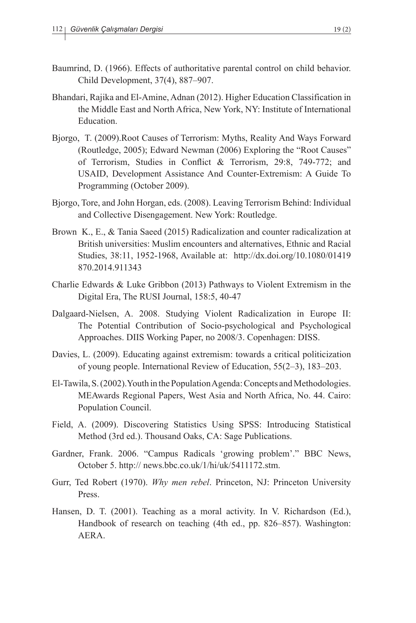- Baumrind, D. (1966). Effects of authoritative parental control on child behavior. Child Development, 37(4), 887–907.
- Bhandari, Rajika and El-Amine, Adnan (2012). Higher Education Classification in the Middle East and North Africa, New York, NY: Institute of International Education.
- Bjorgo, T. (2009).Root Causes of Terrorism: Myths, Reality And Ways Forward (Routledge, 2005); Edward Newman (2006) Exploring the "Root Causes" of Terrorism, Studies in Conflict & Terrorism, 29:8, 749-772; and USAID, Development Assistance And Counter-Extremism: A Guide To Programming (October 2009).
- Bjorgo, Tore, and John Horgan, eds. (2008). Leaving Terrorism Behind: Individual and Collective Disengagement. New York: Routledge.
- Brown K., E., & Tania Saeed (2015) Radicalization and counter radicalization at British universities: Muslim encounters and alternatives, Ethnic and Racial Studies, 38:11, 1952-1968, Available at: http://dx.doi.org/10.1080/01419 870.2014.911343
- Charlie Edwards & Luke Gribbon (2013) Pathways to Violent Extremism in the Digital Era, The RUSI Journal, 158:5, 40-47
- Dalgaard-Nielsen, A. 2008. Studying Violent Radicalization in Europe II: The Potential Contribution of Socio-psychological and Psychological Approaches. DIIS Working Paper, no 2008/3. Copenhagen: DISS.
- Davies, L. (2009). Educating against extremism: towards a critical politicization of young people. International Review of Education, 55(2–3), 183–203.
- El-Tawila, S. (2002).Youth in the Population Agenda: Concepts and Methodologies. MEAwards Regional Papers, West Asia and North Africa, No. 44. Cairo: Population Council.
- Field, A. (2009). Discovering Statistics Using SPSS: Introducing Statistical Method (3rd ed.). Thousand Oaks, CA: Sage Publications.
- Gardner, Frank. 2006. "Campus Radicals 'growing problem'." BBC News, October 5. http:// news.bbc.co.uk/1/hi/uk/5411172.stm.
- Gurr, Ted Robert (1970). *Why men rebel*. Princeton, NJ: Princeton University Press.
- Hansen, D. T. (2001). Teaching as a moral activity. In V. Richardson (Ed.), Handbook of research on teaching (4th ed., pp. 826–857). Washington: AERA.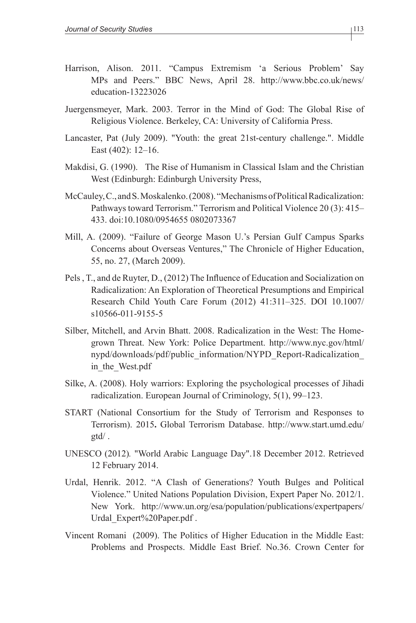- Harrison, Alison. 2011. "Campus Extremism 'a Serious Problem' Say MPs and Peers." BBC News, April 28. http://www.bbc.co.uk/news/ education-13223026
- Juergensmeyer, Mark. 2003. Terror in the Mind of God: The Global Rise of Religious Violence. Berkeley, CA: University of California Press.
- Lancaster, Pat (July 2009). "Youth: the great 21st-century challenge.". Middle East (402): 12–16.
- Makdisi, G. (1990). The Rise of Humanism in Classical Islam and the Christian West (Edinburgh: Edinburgh University Press,
- McCauley, C., and S. Moskalenko. (2008). "Mechanisms of Political Radicalization: Pathways toward Terrorism." Terrorism and Political Violence 20 (3): 415– 433. doi:10.1080/0954655 0802073367
- Mill, A. (2009). "Failure of George Mason U.'s Persian Gulf Campus Sparks Concerns about Overseas Ventures," The Chronicle of Higher Education, 55, no. 27, (March 2009).
- Pels , T., and de Ruyter, D., (2012) The Influence of Education and Socialization on Radicalization: An Exploration of Theoretical Presumptions and Empirical Research Child Youth Care Forum (2012) 41:311–325. DOI 10.1007/ s10566-011-9155-5
- Silber, Mitchell, and Arvin Bhatt. 2008. Radicalization in the West: The Homegrown Threat. New York: Police Department. http://www.nyc.gov/html/ nypd/downloads/pdf/public\_information/NYPD\_Report-Radicalization\_ in\_the\_West.pdf
- Silke, A. (2008). Holy warriors: Exploring the psychological processes of Jihadi radicalization. European Journal of Criminology, 5(1), 99–123.
- START (National Consortium for the Study of Terrorism and Responses to Terrorism). 2015**.** Global Terrorism Database. http://www.start.umd.edu/ gtd/ .
- UNESCO (2012)*.* "World Arabic Language Day".18 December 2012. Retrieved 12 February 2014.
- Urdal, Henrik. 2012. "A Clash of Generations? Youth Bulges and Political Violence." United Nations Population Division, Expert Paper No. 2012/1. New York. http://www.un.org/esa/population/publications/expertpapers/ Urdal\_Expert%20Paper.pdf .
- Vincent Romani (2009). The Politics of Higher Education in the Middle East: Problems and Prospects. Middle East Brief. No.36. Crown Center for